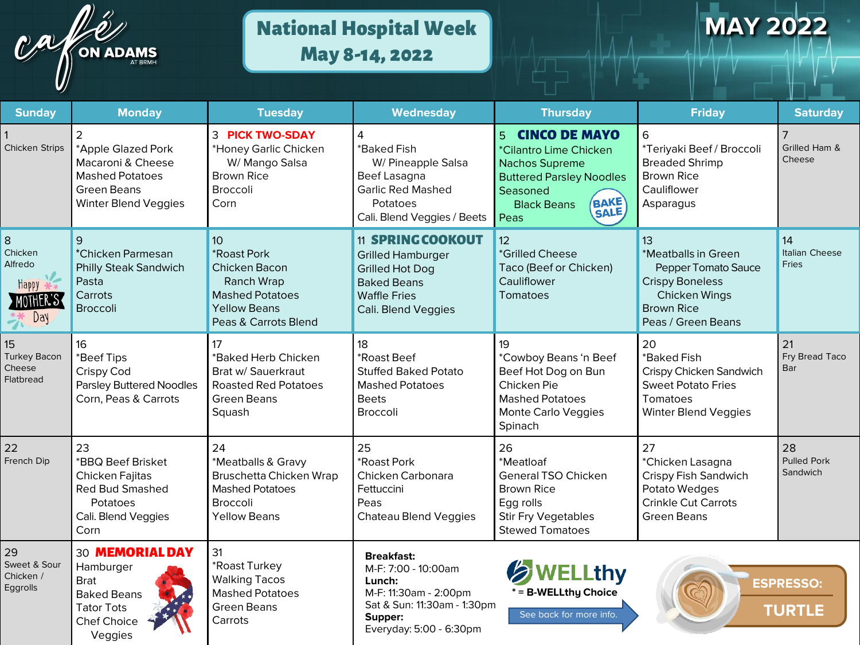

# National Hospital Week May 8-14, 2022

# **MAY 2022**

| <b>Sunday</b>                                                    | <b>Monday</b>                                                                                                           | <b>Tuesday</b>                                                                                                                         | Wednesday                                                                                                                                          | <b>Thursday</b>                                                                                                                                                                                      | <b>Friday</b>                                                                                                                                 | <b>Saturday</b>                      |
|------------------------------------------------------------------|-------------------------------------------------------------------------------------------------------------------------|----------------------------------------------------------------------------------------------------------------------------------------|----------------------------------------------------------------------------------------------------------------------------------------------------|------------------------------------------------------------------------------------------------------------------------------------------------------------------------------------------------------|-----------------------------------------------------------------------------------------------------------------------------------------------|--------------------------------------|
| <b>Chicken Strips</b>                                            | 2<br>*Apple Glazed Pork<br>Macaroni & Cheese<br><b>Mashed Potatoes</b><br>Green Beans<br>Winter Blend Veggies           | <b>3 PICK TWO-SDAY</b><br>*Honey Garlic Chicken<br>W/ Mango Salsa<br><b>Brown Rice</b><br><b>Broccoli</b><br>Corn                      | $\overline{4}$<br>*Baked Fish<br>W/ Pineapple Salsa<br>Beef Lasagna<br><b>Garlic Red Mashed</b><br>Potatoes<br>Cali. Blend Veggies / Beets         | $\overline{5}$<br><b>CINCO DE MAYO</b><br>*Cilantro Lime Chicken<br><b>Nachos Supreme</b><br><b>Buttered Parsley Noodles</b><br>Seasoned<br><b>BAKE</b><br><b>Black Beans</b><br><b>SALE</b><br>Peas | 6<br>*Teriyaki Beef / Broccoli<br><b>Breaded Shrimp</b><br><b>Brown Rice</b><br>Cauliflower<br>Asparagus                                      | Grilled Ham &<br>Cheese              |
| $\bf 8$<br>Chicken<br>Alfredo<br><b>Happy</b><br>MOTHER'S<br>Day | 9<br>*Chicken Parmesan<br><b>Philly Steak Sandwich</b><br>Pasta<br>Carrots<br><b>Broccoli</b>                           | 10 <sup>1</sup><br>*Roast Pork<br>Chicken Bacon<br>Ranch Wrap<br><b>Mashed Potatoes</b><br><b>Yellow Beans</b><br>Peas & Carrots Blend | <b>11 SPRING COOKOUT</b><br><b>Grilled Hamburger</b><br><b>Grilled Hot Dog</b><br><b>Baked Beans</b><br><b>Waffle Fries</b><br>Cali. Blend Veggies | 12 <sup>2</sup><br>*Grilled Cheese<br>Taco (Beef or Chicken)<br>Cauliflower<br>Tomatoes                                                                                                              | 13<br>*Meatballs in Green<br><b>Pepper Tomato Sauce</b><br><b>Crispy Boneless</b><br>Chicken Wings<br><b>Brown Rice</b><br>Peas / Green Beans | 14<br>Italian Cheese<br><b>Fries</b> |
| 15<br><b>Turkey Bacon</b><br>Cheese<br>Flatbread                 | 16<br>*Beef Tips<br>Crispy Cod<br><b>Parsley Buttered Noodles</b><br>Corn, Peas & Carrots                               | 17<br>*Baked Herb Chicken<br>Brat w/ Sauerkraut<br><b>Roasted Red Potatoes</b><br><b>Green Beans</b><br>Squash                         | 18<br>*Roast Beef<br><b>Stuffed Baked Potato</b><br><b>Mashed Potatoes</b><br><b>Beets</b><br><b>Broccoli</b>                                      | 19<br>*Cowboy Beans 'n Beef<br>Beef Hot Dog on Bun<br>Chicken Pie<br><b>Mashed Potatoes</b><br>Monte Carlo Veggies<br>Spinach                                                                        | 20<br>*Baked Fish<br>Crispy Chicken Sandwich<br><b>Sweet Potato Fries</b><br>Tomatoes<br>Winter Blend Veggies                                 | 21<br>Fry Bread Taco<br>Bar          |
| 22<br>French Dip                                                 | 23<br>*BBQ Beef Brisket<br>Chicken Fajitas<br><b>Red Bud Smashed</b><br>Potatoes<br>Cali. Blend Veggies<br>Corn         | 24<br>*Meatballs & Gravy<br>Bruschetta Chicken Wrap<br><b>Mashed Potatoes</b><br><b>Broccoli</b><br><b>Yellow Beans</b>                | 25<br>*Roast Pork<br>Chicken Carbonara<br>Fettuccini<br>Peas<br>Chateau Blend Veggies                                                              | 26<br>*Meatloaf<br><b>General TSO Chicken</b><br><b>Brown Rice</b><br>Egg rolls<br><b>Stir Fry Vegetables</b><br><b>Stewed Tomatoes</b>                                                              | 27<br>*Chicken Lasagna<br>Crispy Fish Sandwich<br>Potato Wedges<br><b>Crinkle Cut Carrots</b><br><b>Green Beans</b>                           | 28<br><b>Pulled Pork</b><br>Sandwich |
| 29<br>Sweet & Sour<br>Chicken /<br>Eggrolls                      | 30 MEMORIAL DAY<br>Hamburger<br><b>Brat</b><br><b>Baked Beans</b><br><b>Tator Tots</b><br><b>Chef Choice</b><br>Veggies | 31<br>*Roast Turkey<br><b>Walking Tacos</b><br><b>Mashed Potatoes</b><br><b>Green Beans</b><br>Carrots                                 | <b>Breakfast:</b><br>M-F: 7:00 - 10:00am<br>Lunch:<br>M-F: 11:30am - 2:00pm<br>Sat & Sun: 11:30am - 1:30pm<br>Supper:<br>Everyday: 5:00 - 6:30pm   | <b>SWELLthy</b><br>* = B-WELLthy Choice<br>See back for more info.                                                                                                                                   |                                                                                                                                               | <b>ESPRESSO:</b><br><b>TURTLE</b>    |